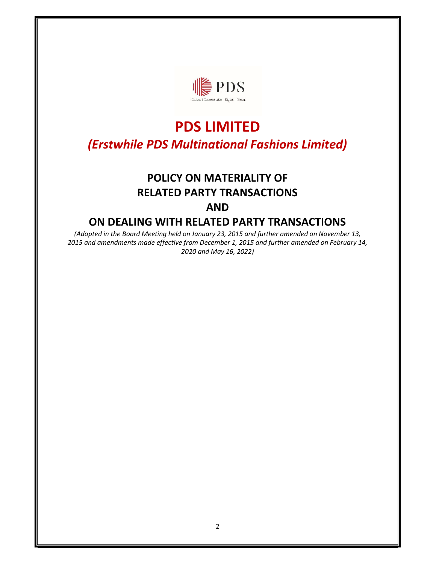

# PDS LIMITED (Erstwhile PDS Multinational Fashions Limited)

## POLICY ON MATERIALITY OF RELATED PARTY TRANSACTIONS AND

### ON DEALING WITH RELATED PARTY TRANSACTIONS

(Adopted in the Board Meeting held on January 23, 2015 and further amended on November 13, 2015 and amendments made effective from December 1, 2015 and further amended on February 14, 2020 and May 16, 2022)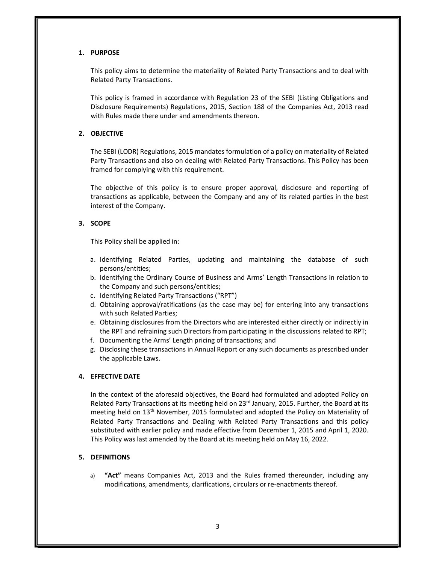#### 1. PURPOSE

This policy aims to determine the materiality of Related Party Transactions and to deal with Related Party Transactions.

This policy is framed in accordance with Regulation 23 of the SEBI (Listing Obligations and Disclosure Requirements) Regulations, 2015, Section 188 of the Companies Act, 2013 read with Rules made there under and amendments thereon.

#### 2. OBJECTIVE

The SEBI (LODR) Regulations, 2015 mandates formulation of a policy on materiality of Related Party Transactions and also on dealing with Related Party Transactions. This Policy has been framed for complying with this requirement.

The objective of this policy is to ensure proper approval, disclosure and reporting of transactions as applicable, between the Company and any of its related parties in the best interest of the Company.

#### 3. SCOPE

This Policy shall be applied in:

- a. Identifying Related Parties, updating and maintaining the database of such persons/entities;
- b. Identifying the Ordinary Course of Business and Arms' Length Transactions in relation to the Company and such persons/entities;
- c. Identifying Related Party Transactions ("RPT")
- d. Obtaining approval/ratifications (as the case may be) for entering into any transactions with such Related Parties;
- e. Obtaining disclosures from the Directors who are interested either directly or indirectly in the RPT and refraining such Directors from participating in the discussions related to RPT;
- f. Documenting the Arms' Length pricing of transactions; and
- g. Disclosing these transactions in Annual Report or any such documents as prescribed under the applicable Laws.

#### 4. EFFECTIVE DATE

In the context of the aforesaid objectives, the Board had formulated and adopted Policy on Related Party Transactions at its meeting held on 23<sup>rd</sup> January, 2015. Further, the Board at its meeting held on 13th November, 2015 formulated and adopted the Policy on Materiality of Related Party Transactions and Dealing with Related Party Transactions and this policy substituted with earlier policy and made effective from December 1, 2015 and April 1, 2020. This Policy was last amended by the Board at its meeting held on May 16, 2022.

#### 5. DEFINITIONS

a) "Act" means Companies Act, 2013 and the Rules framed thereunder, including any modifications, amendments, clarifications, circulars or re-enactments thereof.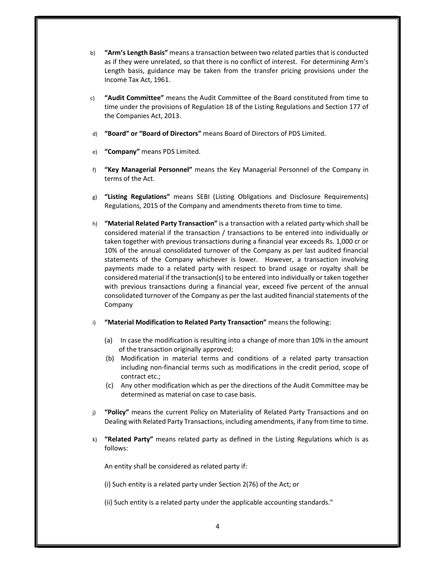- b) "Arm's Length Basis" means a transaction between two related parties that is conducted as if they were unrelated, so that there is no conflict of interest. For determining Arm's Length basis, guidance may be taken from the transfer pricing provisions under the Income Tax Act, 1961.
- c) "Audit Committee" means the Audit Committee of the Board constituted from time to time under the provisions of Regulation 18 of the Listing Regulations and Section 177 of the Companies Act, 2013.
- d) "Board" or "Board of Directors" means Board of Directors of PDS Limited.
- e) "Company" means PDS Limited.
- f) "Key Managerial Personnel" means the Key Managerial Personnel of the Company in terms of the Act.
- g) "Listing Regulations" means SEBI (Listing Obligations and Disclosure Requirements) Regulations, 2015 of the Company and amendments thereto from time to time.
- h) **"Material Related Party Transaction"** is a transaction with a related party which shall be considered material if the transaction / transactions to be entered into individually or taken together with previous transactions during a financial year exceeds Rs. 1,000 cr or 10% of the annual consolidated turnover of the Company as per last audited financial statements of the Company whichever is lower. However, a transaction involving payments made to a related party with respect to brand usage or royalty shall be considered material if the transaction(s) to be entered into individually or taken together with previous transactions during a financial year, exceed five percent of the annual consolidated turnover of the Company as per the last audited financial statements of the Company
- i) "Material Modification to Related Party Transaction" means the following:
	- (a) In case the modification is resulting into a change of more than 10% in the amount of the transaction originally approved;
	- (b) Modification in material terms and conditions of a related party transaction including non-financial terms such as modifications in the credit period, scope of contract etc.;
	- (c) Any other modification which as per the directions of the Audit Committee may be determined as material on case to case basis.
- j) "Policy" means the current Policy on Materiality of Related Party Transactions and on Dealing with Related Party Transactions, including amendments, if any from time to time.
- k) "Related Party" means related party as defined in the Listing Regulations which is as follows:

An entity shall be considered as related party if:

(i) Such entity is a related party under Section 2(76) of the Act; or

(ii) Such entity is a related party under the applicable accounting standards."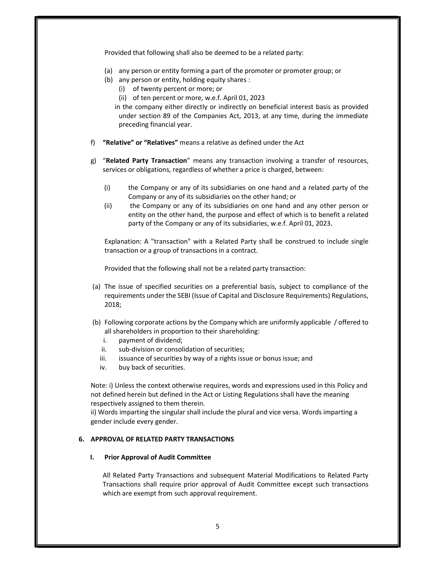Provided that following shall also be deemed to be a related party:

- (a) any person or entity forming a part of the promoter or promoter group; or
- (b) any person or entity, holding equity shares :
	- (i) of twenty percent or more; or
		- (ii) of ten percent or more, w.e.f. April 01, 2023

in the company either directly or indirectly on beneficial interest basis as provided under section 89 of the Companies Act, 2013, at any time, during the immediate preceding financial year.

- f) "Relative" or "Relatives" means a relative as defined under the Act
- g) "Related Party Transaction" means any transaction involving a transfer of resources, services or obligations, regardless of whether a price is charged, between:
	- (i) the Company or any of its subsidiaries on one hand and a related party of the Company or any of its subsidiaries on the other hand; or
	- (ii) the Company or any of its subsidiaries on one hand and any other person or entity on the other hand, the purpose and effect of which is to benefit a related party of the Company or any of its subsidiaries, w.e.f. April 01, 2023.

Explanation: A "transaction" with a Related Party shall be construed to include single transaction or a group of transactions in a contract.

Provided that the following shall not be a related party transaction:

- (a) The issue of specified securities on a preferential basis, subject to compliance of the requirements under the SEBI (Issue of Capital and Disclosure Requirements) Regulations, 2018;
- (b) Following corporate actions by the Company which are uniformly applicable / offered to all shareholders in proportion to their shareholding:
	- i. payment of dividend;
	- ii. sub-division or consolidation of securities;
	- iii. issuance of securities by way of a rights issue or bonus issue; and
	- iv. buy back of securities.

Note: i) Unless the context otherwise requires, words and expressions used in this Policy and not defined herein but defined in the Act or Listing Regulations shall have the meaning respectively assigned to them therein.

ii) Words imparting the singular shall include the plural and vice versa. Words imparting a gender include every gender.

#### 6. APPROVAL OF RELATED PARTY TRANSACTIONS

#### I. Prior Approval of Audit Committee

All Related Party Transactions and subsequent Material Modifications to Related Party Transactions shall require prior approval of Audit Committee except such transactions which are exempt from such approval requirement.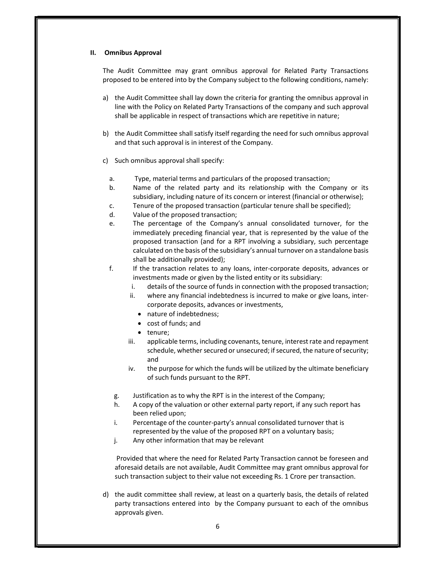#### II. Omnibus Approval

The Audit Committee may grant omnibus approval for Related Party Transactions proposed to be entered into by the Company subject to the following conditions, namely:

- a) the Audit Committee shall lay down the criteria for granting the omnibus approval in line with the Policy on Related Party Transactions of the company and such approval shall be applicable in respect of transactions which are repetitive in nature;
- b) the Audit Committee shall satisfy itself regarding the need for such omnibus approval and that such approval is in interest of the Company.
- c) Such omnibus approval shall specify:
	- a. Type, material terms and particulars of the proposed transaction;
	- b. Name of the related party and its relationship with the Company or its subsidiary, including nature of its concern or interest (financial or otherwise);
	- c. Tenure of the proposed transaction (particular tenure shall be specified);
	- d. Value of the proposed transaction;
	- e. The percentage of the Company's annual consolidated turnover, for the immediately preceding financial year, that is represented by the value of the proposed transaction (and for a RPT involving a subsidiary, such percentage calculated on the basis of the subsidiary's annual turnover on a standalone basis shall be additionally provided);
	- f. If the transaction relates to any loans, inter-corporate deposits, advances or investments made or given by the listed entity or its subsidiary:
		- i. details of the source of funds in connection with the proposed transaction;
		- ii. where any financial indebtedness is incurred to make or give loans, intercorporate deposits, advances or investments,
			- nature of indebtedness;
			- cost of funds; and
			- tenure;
		- iii. applicable terms, including covenants, tenure, interest rate and repayment schedule, whether secured or unsecured; if secured, the nature of security; and
		- iv. the purpose for which the funds will be utilized by the ultimate beneficiary of such funds pursuant to the RPT.
		- g. Justification as to why the RPT is in the interest of the Company;
		- h. A copy of the valuation or other external party report, if any such report has been relied upon;
		- i. Percentage of the counter-party's annual consolidated turnover that is represented by the value of the proposed RPT on a voluntary basis;
		- j. Any other information that may be relevant

 Provided that where the need for Related Party Transaction cannot be foreseen and aforesaid details are not available, Audit Committee may grant omnibus approval for such transaction subject to their value not exceeding Rs. 1 Crore per transaction.

d) the audit committee shall review, at least on a quarterly basis, the details of related party transactions entered into by the Company pursuant to each of the omnibus approvals given.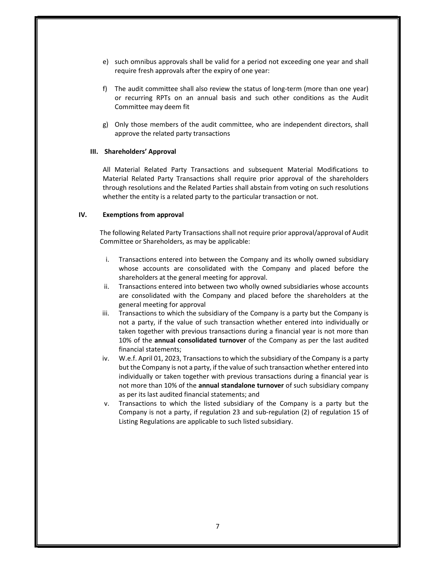- e) such omnibus approvals shall be valid for a period not exceeding one year and shall require fresh approvals after the expiry of one year:
- f) The audit committee shall also review the status of long-term (more than one year) or recurring RPTs on an annual basis and such other conditions as the Audit Committee may deem fit
- g) Only those members of the audit committee, who are independent directors, shall approve the related party transactions

#### III. Shareholders' Approval

All Material Related Party Transactions and subsequent Material Modifications to Material Related Party Transactions shall require prior approval of the shareholders through resolutions and the Related Parties shall abstain from voting on such resolutions whether the entity is a related party to the particular transaction or not.

#### IV. Exemptions from approval

The following Related Party Transactions shall not require prior approval/approval of Audit Committee or Shareholders, as may be applicable:

- i. Transactions entered into between the Company and its wholly owned subsidiary whose accounts are consolidated with the Company and placed before the shareholders at the general meeting for approval.
- ii. Transactions entered into between two wholly owned subsidiaries whose accounts are consolidated with the Company and placed before the shareholders at the general meeting for approval
- iii. Transactions to which the subsidiary of the Company is a party but the Company is not a party, if the value of such transaction whether entered into individually or taken together with previous transactions during a financial year is not more than 10% of the annual consolidated turnover of the Company as per the last audited financial statements;
- iv. W.e.f. April 01, 2023, Transactions to which the subsidiary of the Company is a party but the Company is not a party, if the value of such transaction whether entered into individually or taken together with previous transactions during a financial year is not more than 10% of the annual standalone turnover of such subsidiary company as per its last audited financial statements; and
- v. Transactions to which the listed subsidiary of the Company is a party but the Company is not a party, if regulation 23 and sub-regulation (2) of regulation 15 of Listing Regulations are applicable to such listed subsidiary.